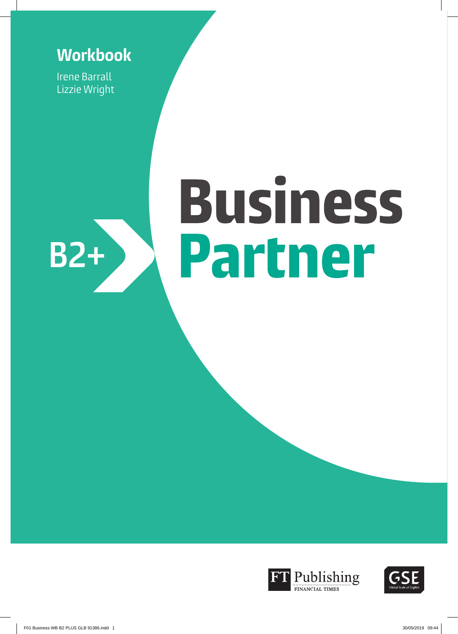# **Workbook**

Irene Barrall Lizzie Wright

# **Business** Partner **B2+**



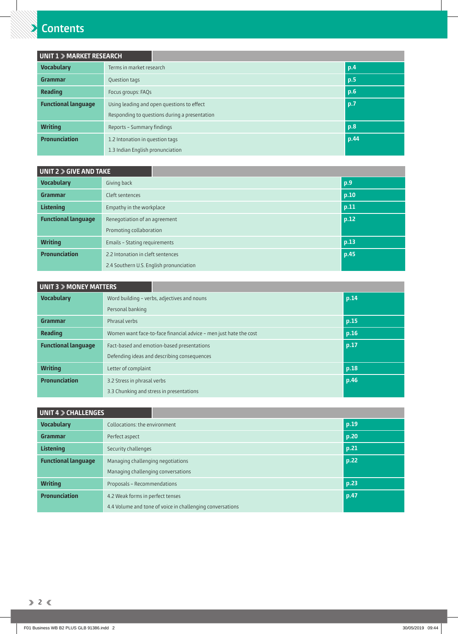# **Contents**

| <b>UNIT 1 &gt; MARKET RESEARCH</b> |                                               |     |      |     |
|------------------------------------|-----------------------------------------------|-----|------|-----|
| <b>Vocabulary</b>                  | Terms in market research                      |     |      | p.4 |
| Grammar                            | Question tags                                 |     |      | p.5 |
| <b>Reading</b>                     | Focus groups: FAQs                            | p.6 |      |     |
| <b>Functional language</b>         | Using leading and open questions to effect    |     | p.7  |     |
|                                    | Responding to questions during a presentation |     |      |     |
| <b>Writing</b>                     | p.8<br>Reports - Summary findings             |     |      |     |
| <b>Pronunciation</b>               | 1.2 Intonation in question tags               |     | p.44 |     |
|                                    | 1.3 Indian English pronunciation              |     |      |     |

# **UNIT 2 > GIVE AND TAKE Vocabulary** Giving back **p.9 Grammar** Cleft sentences **p.10 Cleft sentences Listening Empathy in the workplace <b>p.11 Example 20 p.11 p.11 Functional language** Renegotiation of an agreement Promoting collaboration **p.12 Writing Emails – Stating requirements p.13 p.13 p.13 Pronunciation** 2.2 Intonation in cleft sentences 2.4 Southern U.S. English pronunciation **p.45**

| <b>UNIT 3 &gt; MONEY MATTERS</b>                    |                                                                   |                                             |      |
|-----------------------------------------------------|-------------------------------------------------------------------|---------------------------------------------|------|
| <b>Vocabulary</b>                                   |                                                                   | Word building - verbs, adjectives and nouns | p.14 |
|                                                     | Personal banking                                                  |                                             |      |
| Grammar                                             | Phrasal verbs                                                     |                                             | p.15 |
| <b>Reading</b>                                      | Women want face-to-face financial advice - men just hate the cost |                                             | p.16 |
| <b>Functional language</b>                          |                                                                   | Fact-based and emotion-based presentations  | p.17 |
|                                                     | Defending ideas and describing consequences                       |                                             |      |
| <b>Writing</b><br>Letter of complaint               |                                                                   | p.18                                        |      |
| <b>Pronunciation</b><br>3.2 Stress in phrasal verbs |                                                                   |                                             | p.46 |
|                                                     | 3.3 Chunking and stress in presentations                          |                                             |      |

| <b>UNIT 4 &gt; CHALLENGES</b> |                                    |                                                           |      |      |
|-------------------------------|------------------------------------|-----------------------------------------------------------|------|------|
| <b>Vocabulary</b>             | Collocations: the environment      |                                                           |      | p.19 |
| Grammar                       | Perfect aspect                     |                                                           |      | p.20 |
| <b>Listening</b>              | Security challenges                |                                                           | p.21 |      |
| <b>Functional language</b>    | Managing challenging negotiations  |                                                           |      | p.22 |
|                               | Managing challenging conversations |                                                           |      |      |
| <b>Writing</b>                | Proposals - Recommendations        |                                                           | p.23 |      |
| <b>Pronunciation</b>          | 4.2 Weak forms in perfect tenses   |                                                           |      | p.47 |
|                               |                                    | 4.4 Volume and tone of voice in challenging conversations |      |      |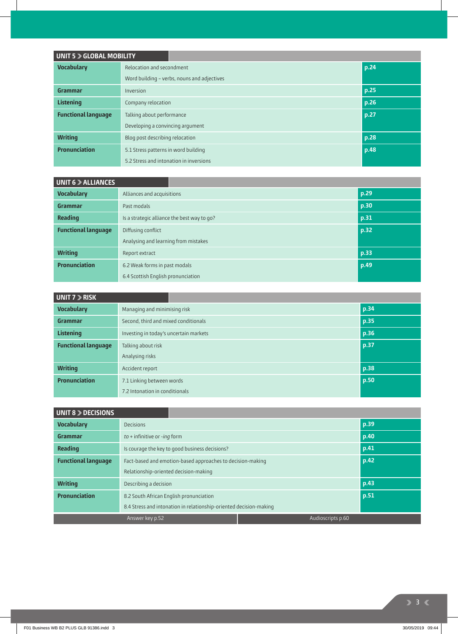| UNIT 5 > GLOBAL MOBILITY   |                                             |      |
|----------------------------|---------------------------------------------|------|
| <b>Vocabulary</b>          | Relocation and secondment                   | p.24 |
|                            | Word building - verbs, nouns and adjectives |      |
| Grammar                    | Inversion                                   | p.25 |
| <b>Listening</b>           | p.26<br>Company relocation                  |      |
| <b>Functional language</b> | Talking about performance                   | p.27 |
|                            | Developing a convincing argument            |      |
| <b>Writing</b>             | Blog post describing relocation             | p.28 |
| <b>Pronunciation</b>       | 5.1 Stress patterns in word building        | p.48 |
|                            | 5.2 Stress and intonation in inversions     |      |

| UNIT 6 > ALLIANCES         |                                             |      |
|----------------------------|---------------------------------------------|------|
| <b>Vocabulary</b>          | Alliances and acquisitions                  | p.29 |
| Grammar                    | Past modals                                 | p.30 |
| <b>Reading</b>             | Is a strategic alliance the best way to go? | p.31 |
| <b>Functional language</b> | Diffusing conflict                          | p.32 |
|                            | Analysing and learning from mistakes        |      |
| <b>Writing</b>             | Report extract                              | p.33 |
| <b>Pronunciation</b>       | 6.2 Weak forms in past modals               | p.49 |
|                            | 6.4 Scottish English pronunciation          |      |

| UNIT 7 > RISK              |                                        |      |
|----------------------------|----------------------------------------|------|
| <b>Vocabulary</b>          | Managing and minimising risk           | p.34 |
| Grammar                    | Second, third and mixed conditionals   | p.35 |
| <b>Listening</b>           | Investing in today's uncertain markets | p.36 |
| <b>Functional language</b> | Talking about risk                     | p.37 |
|                            | Analysing risks                        |      |
| <b>Writing</b>             | Accident report                        | p.38 |
| <b>Pronunciation</b>       | 7.1 Linking between words              | p.50 |
|                            | 7.2 Intonation in conditionals         |      |

| UNIT 8 > DECISIONS                                                 |                                                            |  |  |      |
|--------------------------------------------------------------------|------------------------------------------------------------|--|--|------|
| <b>Vocabulary</b>                                                  | <b>Decisions</b>                                           |  |  | p.39 |
| Grammar                                                            | $to$ + infinitive or -ing form                             |  |  | p.40 |
| Reading                                                            | Is courage the key to good business decisions?             |  |  | p.41 |
| <b>Functional language</b>                                         | Fact-based and emotion-based approaches to decision-making |  |  | p.42 |
|                                                                    | Relationship-oriented decision-making                      |  |  |      |
| <b>Writing</b>                                                     | Describing a decision                                      |  |  | p.43 |
| <b>Pronunciation</b>                                               | 8.2 South African English pronunciation                    |  |  | p.51 |
| 8.4 Stress and intonation in relationship-oriented decision-making |                                                            |  |  |      |
| Answer key p.52<br>Audioscripts p.60                               |                                                            |  |  |      |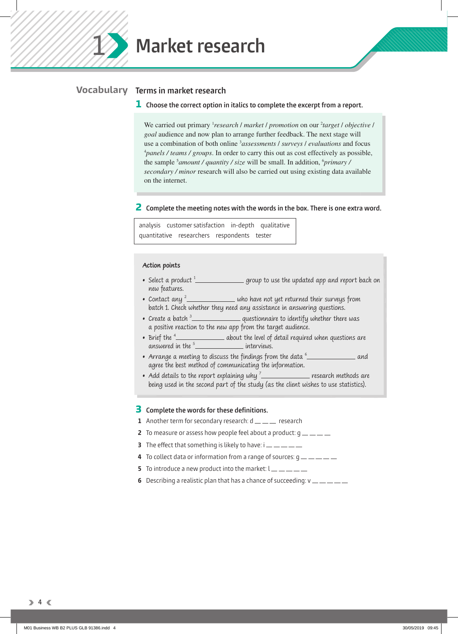# **Terms in market research Vocabulary**

**1 Choose the correct option in italics to complete the excerpt from a report.**

We carried out primary <sup>1</sup> *research | market | promotion* on our <sup>2</sup> *target | objective | goal* audience and now plan to arrange further feedback. The next stage will use a combination of both online 3 *assessments* / *surveys* / *evaluations* and focus 4 *panels / teams / groups*. In order to carry this out as cost effectively as possible, the sample <sup>5</sup>amount / quantity / size will be small. In addition, <sup>6</sup>primary / *secondary / minor* research will also be carried out using existing data available on the internet.

# **2 Complete the meeting notes with the words in the box. There is one extra word.**

analysis customer satisfaction in-depth qualitative quantitative researchers respondents tester

## **Action points**

- Select a product  $\frac{1}{1}$  group to use the updated app and report back on new features.
- Contact any  $2 \sim 2$  who have not yet returned their surveys from batch 1. Check whether they need any assistance in answering questions.
- Create a batch  $\frac{3}{2}$  questionnaire to identify whether there was a positive reaction to the new app from the target audience.
- Brief the  $\frac{4}{1-\frac{1}{2}}$  about the level of detail required when questions are answered in the  $5$  interviews.
- Arrange a meeting to discuss the findings from the data  $\frac{6}{2}$  and agree the best method of communicating the information.
- Add details to the report explaining why  $\frac{7}{2}$  research methods are being used in the second part of the study (as the client wishes to use statistics).

# **3** Complete the words for these definitions.

- **1** Another term for secondary research:  $d =$   $\frac{1}{2}$  research
- **2** To measure or assess how people feel about a product: g
- **3** The effect that something is likely to have:  $i = 1, 2, ...$
- **4** To collect data or information from a range of sources: g
- **5** To introduce a new product into the market:  $l = 1, l = 2, ...$
- **6** Describing a realistic plan that has a chance of succeeding:  $v =$  \_\_\_\_\_\_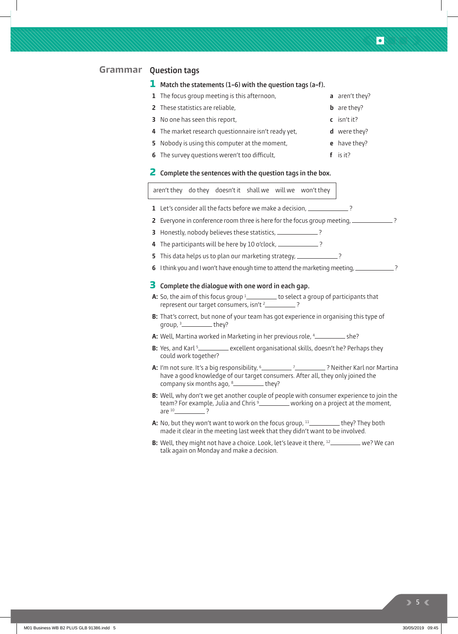# **Question tags Grammar**

## **1 Match the statements (1–6) with the question tags (a–f).**

- **1** The focus group meeting is this afternoon, **a** aren't they?
- **2** These statistics are reliable, **b** are they?
- **3** No one has seen this report, **c** isn't it?
- **4** The market research questionnaire isn't ready yet, **d** were they?
- **5** Nobody is using this computer at the moment, **e** have they?
- **6** The survey questions weren't too difficult, **f** is it?

# **2 Complete the sentences with the question tags in the box.**

aren't they do they doesn't it shall we will we won't they

- 
- 1 Let's consider all the facts before we make a decision, \_\_\_\_\_\_\_\_\_\_\_\_\_?
- **2** Everyone in conference room three is here for the focus group meeting, \_\_\_\_\_\_\_\_\_\_\_\_?
- **3** Honestly, nobody believes these statistics, \_\_\_\_\_\_\_\_\_\_\_\_\_\_?
- **4** The participants will be here by 10 o'clock, \_\_\_\_\_\_\_\_\_\_\_\_\_\_?
- **5** This data helps us to plan our marketing strategy, \_\_\_\_\_\_\_\_\_\_\_\_\_?
- **6** I think you and I won't have enough time to attend the marketing meeting, \_\_\_\_\_\_\_\_\_\_\_\_?

## **3 Complete the dialogue with one word in each gap.**

- **A:** So, the aim of this focus group <sup>1</sup> \_\_\_\_\_\_\_\_\_\_ to select a group of participants that represent our target consumers, isn't <sup>2</sup> \_\_\_\_\_\_\_\_\_\_?
- **B:** That's correct, but none of your team has got experience in organising this type of  $q$ roup,  $3$  they?
- **A:** Well, Martina worked in Marketing in her previous role, 4\_\_\_\_\_\_\_\_\_\_\_ she?
- **B:** Yes, and Karl<sup>5</sup> excellent organisational skills, doesn't he? Perhaps they could work together?
- A: I'm not sure. It's a big responsibility, <sup>6</sup> 7 [100] <sup>7</sup> 7 Neither Karl nor Martina have a good knowledge of our target consumers. After all, they only joined the company six months ago,  $8$  \_\_\_\_\_\_\_\_\_\_\_ they?
- **B:** Well, why don't we get another couple of people with consumer experience to join the team? For example, Julia and Chris  $\frac{9}{2}$  working on a project at the moment, are  $10$  ?
- **A:** No, but they won't want to work on the focus group,  $11$  \_\_\_\_\_\_\_\_\_\_ they? They both made it clear in the meeting last week that they didn't want to be involved.
- **B:** Well, they might not have a choice. Look, let's leave it there, <sup>12</sup> we? We can talk again on Monday and make a decision.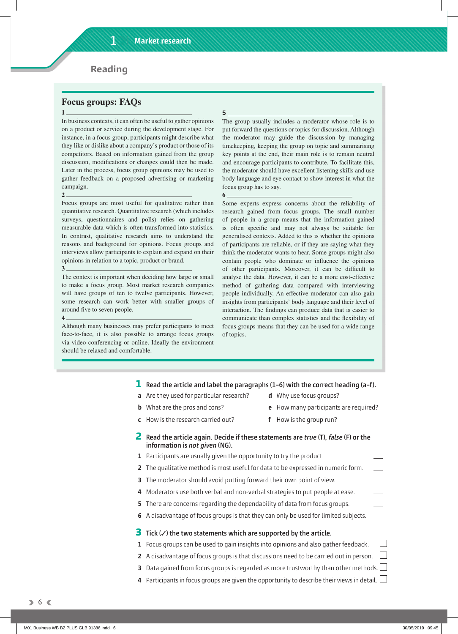**Reading**

# **Focus groups: FAQs**

#### **1**

In business contexts, it can often be useful to gather opinions on a product or service during the development stage. For instance, in a focus group, participants might describe what they like or dislike about a company's product or those of its competitors. Based on information gained from the group discussion, modifications or changes could then be made. Later in the process, focus group opinions may be used to gather feedback on a proposed advertising or marketing campaign. **2** 

Focus groups are most useful for qualitative rather than quantitative research. Quantitative research (which includes surveys, questionnaires and polls) relies on gathering measurable data which is often transformed into statistics. In contrast, qualitative research aims to understand the reasons and background for opinions. Focus groups and interviews allow participants to explain and expand on their opinions in relation to a topic, product or brand.

#### $3 -$

The context is important when deciding how large or small to make a focus group. Most market research companies will have groups of ten to twelve participants. However, some research can work better with smaller groups of around five to seven people.

#### **4**

Although many businesses may prefer participants to meet face-to-face, it is also possible to arrange focus groups via video conferencing or online. Ideally the environment should be relaxed and comfortable.

The group usually includes a moderator whose role is to put forward the questions or topics for discussion. Although the moderator may guide the discussion by managing timekeeping, keeping the group on topic and summarising key points at the end, their main role is to remain neutral and encourage participants to contribute. To facilitate this, the moderator should have excellent listening skills and use body language and eye contact to show interest in what the focus group has to say.

Some experts express concerns about the reliability of research gained from focus groups. The small number of people in a group means that the information gained is often specific and may not always be suitable for generalised contexts. Added to this is whether the opinions of participants are reliable, or if they are saying what they think the moderator wants to hear. Some groups might also contain people who dominate or influence the opinions of other participants. Moreover, it can be difficult to analyse the data. However, it can be a more cost-effective method of gathering data compared with interviewing people individually. An effective moderator can also gain insights from participants' body language and their level of interaction. The findings can produce data that is easier to communicate than complex statistics and the flexibility of focus groups means that they can be used for a wide range of topics.

- **1 Read the article and label the paragraphs (1–6) with the correct heading (a–f).**
- **a** Are they used for particular research?
- **b** What are the pros and cons?

**5** 

**6** 

- **c** How is the research carried out?
- **e** How many participants are required? **f** How is the group run?

 $\perp$ 

**d** Why use focus groups?

- **2 Read the article again. Decide if these statements are** *true* **(T),** *false* **(F) or the information is** *not given* **(NG).**
- **1** Participants are usually given the opportunity to try the product. **2** The qualitative method is most useful for data to be expressed in numeric form.
- **3** The moderator should avoid putting forward their own point of view.
- **4** Moderators use both verbal and non-verbal strategies to put people at ease.
- **5** There are concerns regarding the dependability of data from focus groups.
- **6** A disadvantage of focus groups is that they can only be used for limited subjects.

# **3 Tick (**✓**) the two statements which are supported by the article.**

- **1** Focus groups can be used to gain insights into opinions and also gather feedback.
- **2** A disadvantage of focus groups is that discussions need to be carried out in person.  $\Box$
- **3** Data gained from focus groups is regarded as more trustworthy than other methods.  $\Box$
- **4** Participants in focus groups are given the opportunity to describe their views in detail.  $\Box$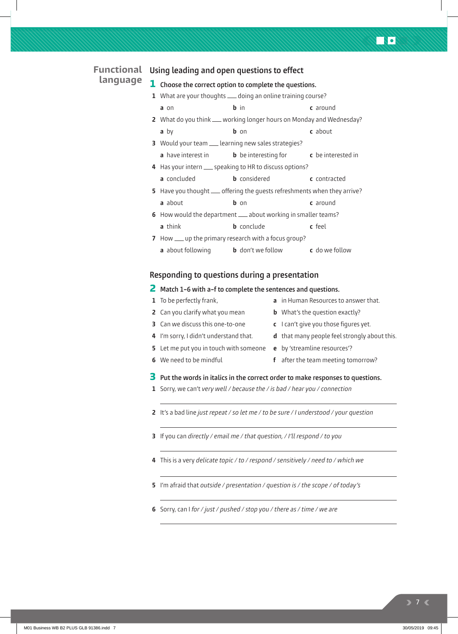# **Using leading and open questions to effect 1 Choose the correct option to complete the questions. 1** What are your thoughts <u>and doing an online training course</u>? **a** on **b** in **c** around **2** What do you think <u>working longer hours on Monday and Wednesday</u>? **a** by **b** on **c** about **3** Would your team <u>a learning new sales strategies</u>? **a** have interest in **b** be interesting for **c** be interested in **4** Has your intern <sub>speaking to HR to discuss options?</sub>  **a** concluded **b** considered **c** contracted **5** Have you thought <u>offering</u> the guests refreshments when they arrive? **a** about **b** on **c** around **6** How would the department <u>about working in smaller teams?</u>  **a** think **b** conclude **c** feel **7** How  $\equiv$  up the primary research with a focus group?  **a** about following **b** don't we follow **c** do we follow **Functional language**

# **Responding to questions during a presentation**

# **2 Match 1–6 with a–f to complete the sentences and questions.**

- **1** To be perfectly frank, **a** in Human Resources to answer that.
- **2** Can you clarify what you mean **b** What's the question exactly?
	-
- **3** Can we discuss this one-to-one **c** I can't give you those figures yet.
- **4** I'm sorry, I didn't understand that. **d** that many people feel strongly about this.
- **5** Let me put you in touch with someone **e** by 'streamline resources'?
- 
- 
- **6** We need to be mindful **f** after the team meeting tomorrow?

# **3 Put the words in italics in the correct order to make responses to questions.**

- **1** Sorry, we can't *very well / because the / is bad / hear you / connection*
- **2** It's a bad line *just repeat / so let me / to be sure / I understood / your question*
- **3** If you can *directly / email me / that question, / I'll respond / to you*
- **4** This is a very *delicate topic / to / respond / sensitively / need to / which we*
- **5** I'm afraid that *outside / presentation / question is / the scope / of today's*
- **6** Sorry, can I *for / just / pushed / stop you / there as / time / we are*